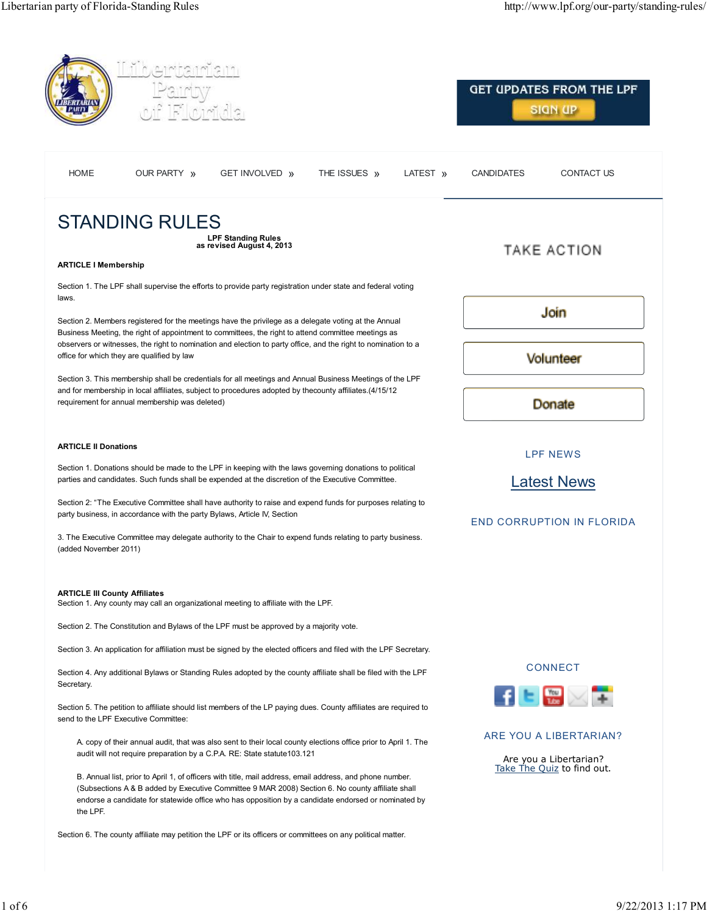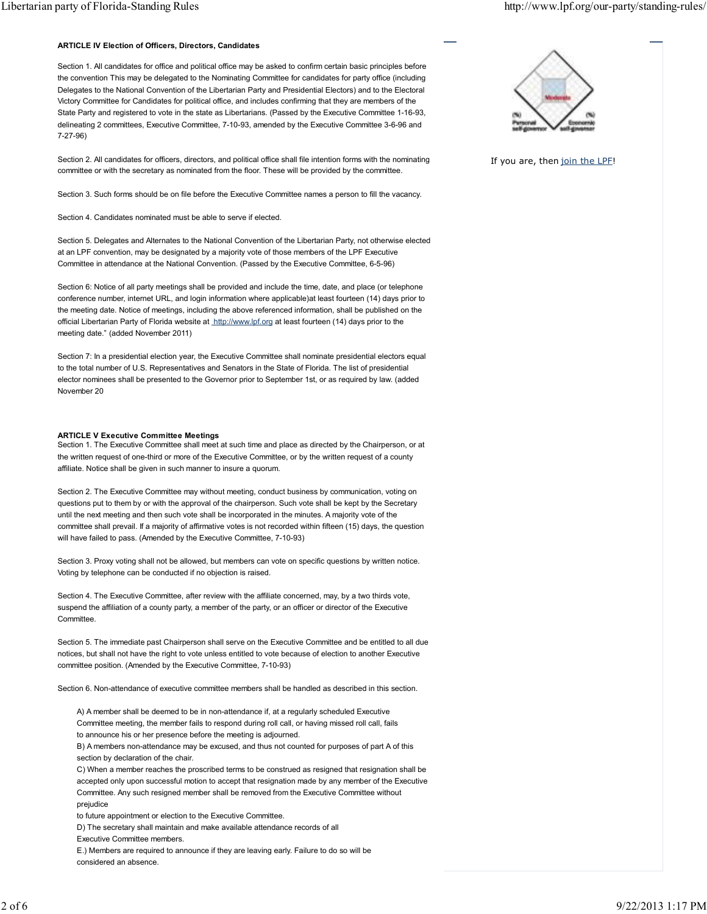#### **ARTICLE IV Election of Officers, Directors, Candidates**

Section 1. All candidates for office and political office may be asked to confirm certain basic principles before the convention This may be delegated to the Nominating Committee for candidates for party office (including Delegates to the National Convention of the Libertarian Party and Presidential Electors) and to the Electoral Victory Committee for Candidates for political office, and includes confirming that they are members of the State Party and registered to vote in the state as Libertarians. (Passed by the Executive Committee 1-16-93, delineating 2 committees, Executive Committee, 7-10-93, amended by the Executive Committee 3-6-96 and 7-27-96)

Section 2. All candidates for officers, directors, and political office shall file intention forms with the nominating committee or with the secretary as nominated from the floor. These will be provided by the committee.

Section 3. Such forms should be on file before the Executive Committee names a person to fill the vacancy.

Section 4. Candidates nominated must be able to serve if elected.

Section 5. Delegates and Alternates to the National Convention of the Libertarian Party, not otherwise elected at an LPF convention, may be designated by a majority vote of those members of the LPF Executive Committee in attendance at the National Convention. (Passed by the Executive Committee, 6-5-96)

Section 6: Notice of all party meetings shall be provided and include the time, date, and place (or telephone conference number, internet URL, and login information where applicable)at least fourteen (14) days prior to the meeting date. Notice of meetings, including the above referenced information, shall be published on the official Libertarian Party of Florida website at http://www.lpf.org at least fourteen (14) days prior to the meeting date." (added November 2011)

Section 7: In a presidential election year, the Executive Committee shall nominate presidential electors equal to the total number of U.S. Representatives and Senators in the State of Florida. The list of presidential elector nominees shall be presented to the Governor prior to September 1st, or as required by law. (added November 20

#### **ARTICLE V Executive Committee Meetings**

Section 1. The Executive Committee shall meet at such time and place as directed by the Chairperson, or at the written request of one-third or more of the Executive Committee, or by the written request of a county affiliate. Notice shall be given in such manner to insure a quorum.

Section 2. The Executive Committee may without meeting, conduct business by communication, voting on questions put to them by or with the approval of the chairperson. Such vote shall be kept by the Secretary until the next meeting and then such vote shall be incorporated in the minutes. A majority vote of the committee shall prevail. If a majority of affirmative votes is not recorded within fifteen (15) days, the question will have failed to pass. (Amended by the Executive Committee, 7-10-93)

Section 3. Proxy voting shall not be allowed, but members can vote on specific questions by written notice. Voting by telephone can be conducted if no objection is raised.

Section 4. The Executive Committee, after review with the affiliate concerned, may, by a two thirds vote, suspend the affiliation of a county party, a member of the party, or an officer or director of the Executive Committee.

Section 5. The immediate past Chairperson shall serve on the Executive Committee and be entitled to all due notices, but shall not have the right to vote unless entitled to vote because of election to another Executive committee position. (Amended by the Executive Committee, 7-10-93)

Section 6. Non-attendance of executive committee members shall be handled as described in this section.

A) A member shall be deemed to be in non-attendance if, at a regularly scheduled Executive Committee meeting, the member fails to respond during roll call, or having missed roll call, fails to announce his or her presence before the meeting is adjourned.

B) A members non-attendance may be excused, and thus not counted for purposes of part A of this section by declaration of the chair.

C) When a member reaches the proscribed terms to be construed as resigned that resignation shall be accepted only upon successful motion to accept that resignation made by any member of the Executive Committee. Any such resigned member shall be removed from the Executive Committee without prejudice

to future appointment or election to the Executive Committee.

D) The secretary shall maintain and make available attendance records of all

Executive Committee members.

E.) Members are required to announce if they are leaving early. Failure to do so will be considered an absence.

![](_page_1_Picture_24.jpeg)

If you are, then join the LPF!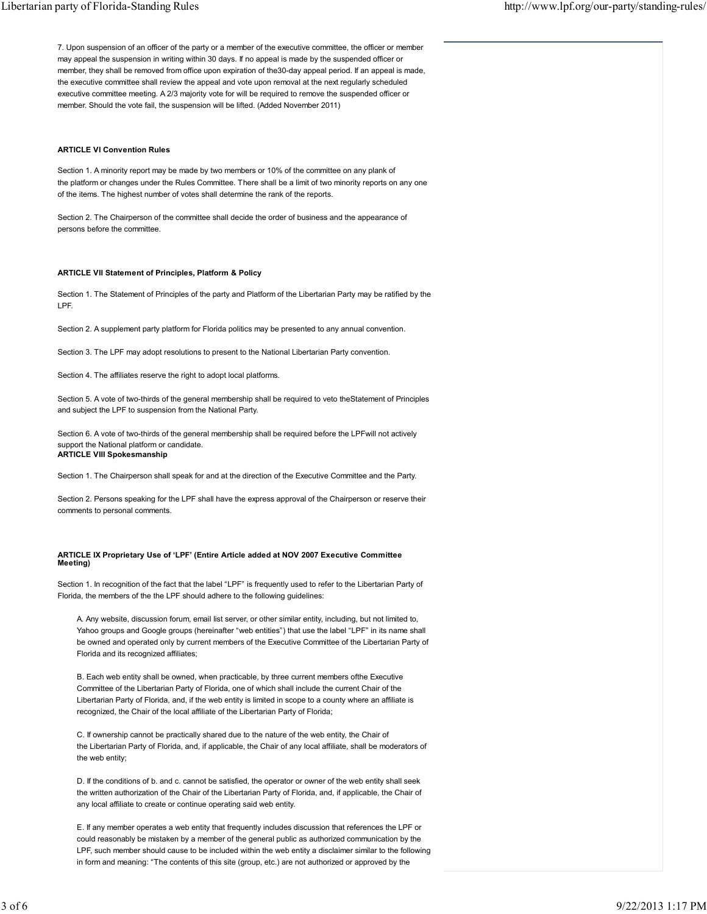7. Upon suspension of an officer of the party or a member of the executive committee, the officer or member may appeal the suspension in writing within 30 days. If no appeal is made by the suspended officer or member, they shall be removed from office upon expiration of the30-day appeal period. If an appeal is made, the executive committee shall review the appeal and vote upon removal at the next regularly scheduled executive committee meeting. A 2/3 majority vote for will be required to remove the suspended officer or member. Should the vote fail, the suspension will be lifted. (Added November 2011)

# **ARTICLE VI Convention Rules**

Section 1. A minority report may be made by two members or 10% of the committee on any plank of the platform or changes under the Rules Committee. There shall be a limit of two minority reports on any one of the items. The highest number of votes shall determine the rank of the reports.

Section 2. The Chairperson of the committee shall decide the order of business and the appearance of persons before the committee.

#### **ARTICLE VII Statement of Principles, Platform & Policy**

Section 1. The Statement of Principles of the party and Platform of the Libertarian Party may be ratified by the LPF.

Section 2. A supplement party platform for Florida politics may be presented to any annual convention.

Section 3. The LPF may adopt resolutions to present to the National Libertarian Party convention.

Section 4. The affiliates reserve the right to adopt local platforms.

Section 5. A vote of two-thirds of the general membership shall be required to veto theStatement of Principles and subject the LPF to suspension from the National Party.

Section 6. A vote of two-thirds of the general membership shall be required before the LPFwill not actively support the National platform or candidate. **ARTICLE VIII Spokesmanship**

Section 1. The Chairperson shall speak for and at the direction of the Executive Committee and the Party.

Section 2. Persons speaking for the LPF shall have the express approval of the Chairperson or reserve their comments to personal comments.

# **ARTICLE IX Proprietary Use of 'LPF' (Entire Article added at NOV 2007 Executive Committee Meeting)**

Section 1. In recognition of the fact that the label "LPF" is frequently used to refer to the Libertarian Party of Florida, the members of the the LPF should adhere to the following guidelines:

A. Any website, discussion forum, email list server, or other similar entity, including, but not limited to, Yahoo groups and Google groups (hereinafter "web entities") that use the label "LPF" in its name shall be owned and operated only by current members of the Executive Committee of the Libertarian Party of Florida and its recognized affiliates;

B. Each web entity shall be owned, when practicable, by three current members ofthe Executive Committee of the Libertarian Party of Florida, one of which shall include the current Chair of the Libertarian Party of Florida, and, if the web entity is limited in scope to a county where an affiliate is recognized, the Chair of the local affiliate of the Libertarian Party of Florida;

C. If ownership cannot be practically shared due to the nature of the web entity, the Chair of the Libertarian Party of Florida, and, if applicable, the Chair of any local affiliate, shall be moderators of the web entity;

D. If the conditions of b. and c. cannot be satisfied, the operator or owner of the web entity shall seek the written authorization of the Chair of the Libertarian Party of Florida, and, if applicable, the Chair of any local affiliate to create or continue operating said web entity.

E. If any member operates a web entity that frequently includes discussion that references the LPF or could reasonably be mistaken by a member of the general public as authorized communication by the LPF, such member should cause to be included within the web entity a disclaimer similar to the following in form and meaning: "The contents of this site (group, etc.) are not authorized or approved by the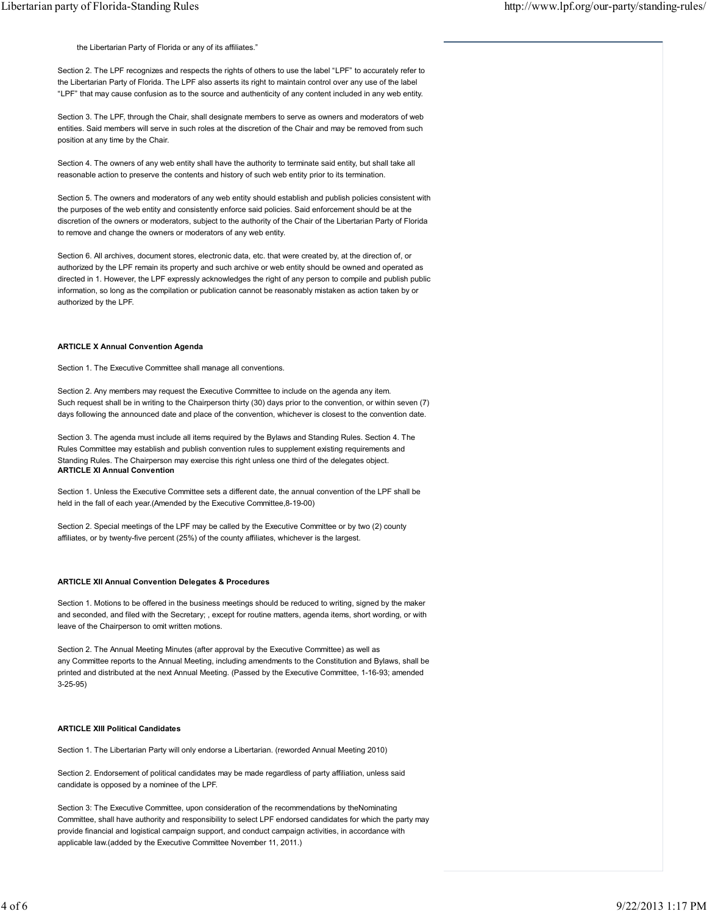the Libertarian Party of Florida or any of its affiliates."

Section 2. The LPF recognizes and respects the rights of others to use the label "LPF" to accurately refer to the Libertarian Party of Florida. The LPF also asserts its right to maintain control over any use of the label "LPF" that may cause confusion as to the source and authenticity of any content included in any web entity.

Section 3. The LPF, through the Chair, shall designate members to serve as owners and moderators of web entities. Said members will serve in such roles at the discretion of the Chair and may be removed from such position at any time by the Chair.

Section 4. The owners of any web entity shall have the authority to terminate said entity, but shall take all reasonable action to preserve the contents and history of such web entity prior to its termination.

Section 5. The owners and moderators of any web entity should establish and publish policies consistent with the purposes of the web entity and consistently enforce said policies. Said enforcement should be at the discretion of the owners or moderators, subject to the authority of the Chair of the Libertarian Party of Florida to remove and change the owners or moderators of any web entity.

Section 6. All archives, document stores, electronic data, etc. that were created by, at the direction of, or authorized by the LPF remain its property and such archive or web entity should be owned and operated as directed in 1. However, the LPF expressly acknowledges the right of any person to compile and publish public information, so long as the compilation or publication cannot be reasonably mistaken as action taken by or authorized by the LPF.

#### **ARTICLE X Annual Convention Agenda**

Section 1. The Executive Committee shall manage all conventions.

Section 2. Any members may request the Executive Committee to include on the agenda any item. Such request shall be in writing to the Chairperson thirty (30) days prior to the convention, or within seven (7) days following the announced date and place of the convention, whichever is closest to the convention date.

Section 3. The agenda must include all items required by the Bylaws and Standing Rules. Section 4. The Rules Committee may establish and publish convention rules to supplement existing requirements and Standing Rules. The Chairperson may exercise this right unless one third of the delegates object. **ARTICLE XI Annual Convention**

Section 1. Unless the Executive Committee sets a different date, the annual convention of the LPF shall be held in the fall of each year.(Amended by the Executive Committee,8-19-00)

Section 2. Special meetings of the LPF may be called by the Executive Committee or by two (2) county affiliates, or by twenty-five percent (25%) of the county affiliates, whichever is the largest.

# **ARTICLE XII Annual Convention Delegates & Procedures**

Section 1. Motions to be offered in the business meetings should be reduced to writing, signed by the maker and seconded, and filed with the Secretary; , except for routine matters, agenda items, short wording, or with leave of the Chairperson to omit written motions.

Section 2. The Annual Meeting Minutes (after approval by the Executive Committee) as well as any Committee reports to the Annual Meeting, including amendments to the Constitution and Bylaws, shall be printed and distributed at the next Annual Meeting. (Passed by the Executive Committee, 1-16-93; amended 3-25-95)

# **ARTICLE XIII Political Candidates**

Section 1. The Libertarian Party will only endorse a Libertarian. (reworded Annual Meeting 2010)

Section 2. Endorsement of political candidates may be made regardless of party affiliation, unless said candidate is opposed by a nominee of the LPF.

Section 3: The Executive Committee, upon consideration of the recommendations by theNominating Committee, shall have authority and responsibility to select LPF endorsed candidates for which the party may provide financial and logistical campaign support, and conduct campaign activities, in accordance with applicable law.(added by the Executive Committee November 11, 2011.)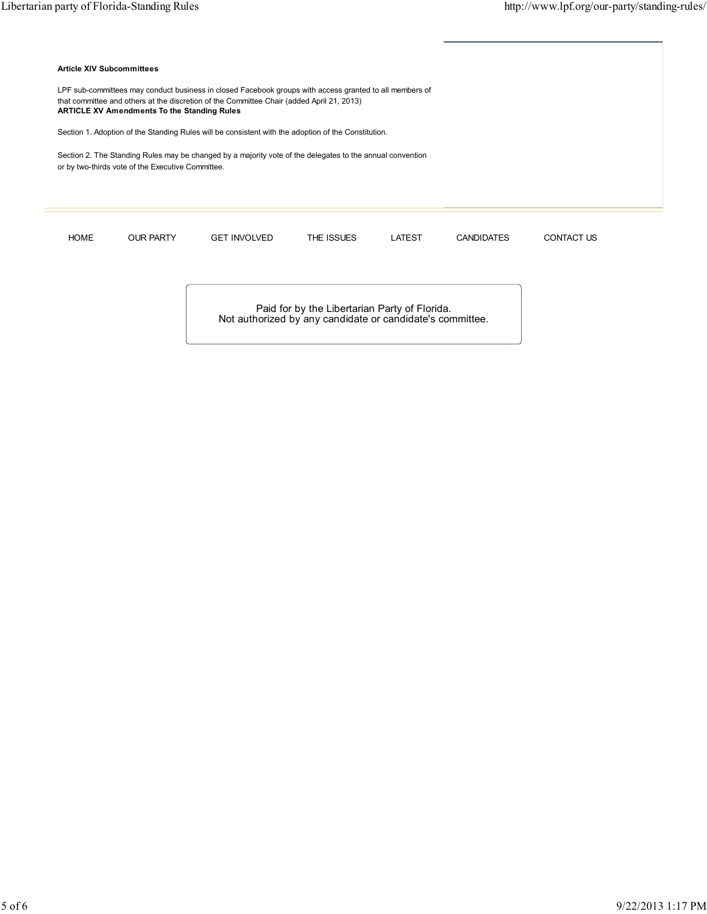Ī

| LPF sub-committees may conduct business in closed Facebook groups with access granted to all members of<br>that committee and others at the discretion of the Committee Chair (added April 21, 2013)<br><b>ARTICLE XV Amendments To the Standing Rules</b><br>Section 1. Adoption of the Standing Rules will be consistent with the adoption of the Constitution. |                     |            |        |                   |                   |
|-------------------------------------------------------------------------------------------------------------------------------------------------------------------------------------------------------------------------------------------------------------------------------------------------------------------------------------------------------------------|---------------------|------------|--------|-------------------|-------------------|
|                                                                                                                                                                                                                                                                                                                                                                   |                     |            |        |                   |                   |
| or by two-thirds vote of the Executive Committee.                                                                                                                                                                                                                                                                                                                 |                     |            |        |                   |                   |
|                                                                                                                                                                                                                                                                                                                                                                   |                     |            |        |                   |                   |
|                                                                                                                                                                                                                                                                                                                                                                   |                     |            |        |                   |                   |
|                                                                                                                                                                                                                                                                                                                                                                   |                     | THE ISSUES | LATEST | <b>CANDIDATES</b> | <b>CONTACT US</b> |
| <b>OUR PARTY</b>                                                                                                                                                                                                                                                                                                                                                  | <b>GET INVOLVED</b> |            |        |                   |                   |
| <b>HOME</b>                                                                                                                                                                                                                                                                                                                                                       |                     |            |        |                   |                   |
|                                                                                                                                                                                                                                                                                                                                                                   |                     |            |        |                   |                   |